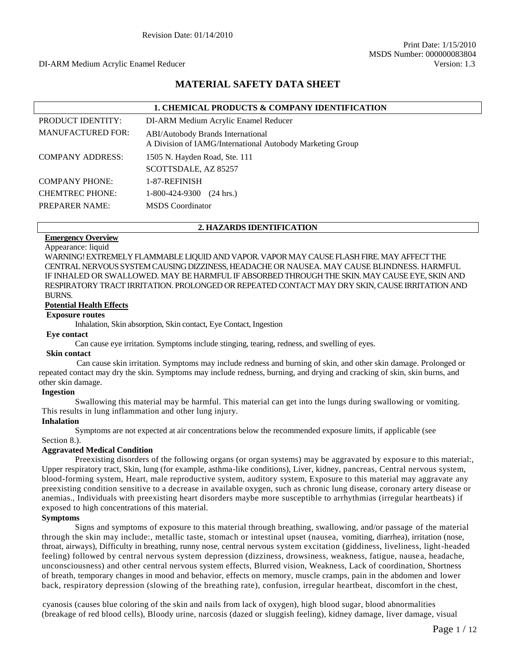# **MATERIAL SAFETY DATA SHEET**

|                          | <b>1. CHEMICAL PRODUCTS &amp; COMPANY IDENTIFICATION</b>                                       |
|--------------------------|------------------------------------------------------------------------------------------------|
| PRODUCT IDENTITY:        | DI-ARM Medium Acrylic Enamel Reducer                                                           |
| <b>MANUFACTURED FOR:</b> | ABI/Autobody Brands International<br>A Division of IAMG/International Autobody Marketing Group |
| <b>COMPANY ADDRESS:</b>  | 1505 N. Hayden Road, Ste. 111                                                                  |
|                          | SCOTTSDALE, AZ 85257                                                                           |
| <b>COMPANY PHONE:</b>    | 1-87-REFINISH                                                                                  |
| <b>CHEMTREC PHONE:</b>   | 1-800-424-9300<br>$(24 \text{ hrs.})$                                                          |
| <b>PREPARER NAME:</b>    | <b>MSDS</b> Coordinator                                                                        |

#### **2. HAZARDS IDENTIFICATION**

# **Emergency Overview**

Appearance: liquid

WARNING! EXTREMELY FLAMMABLE LIQUID AND VAPOR. VAPOR MAY CAUSE FLASH FIRE. MAY AFFECT THE CENTRAL NERVOUS SYSTEM CAUSING DIZZINESS, HEADACHE OR NAUSEA. MAY CAUSE BLINDNESS. HARMFUL IF INHALED OR SWALLOWED. MAY BE HARMFUL IF ABSORBED THROUGH THE SKIN. MAY CAUSE EYE, SKIN AND RESPIRATORY TRACT IRRITATION. PROLONGED OR REPEATED CONTACT MAY DRY SKIN, CAUSE IRRITATION AND BURNS.

#### **Potential Health Effects**

#### **Exposure routes**

Inhalation, Skin absorption, Skin contact, Eye Contact, Ingestion

#### **Eye contact**

Can cause eye irritation. Symptoms include stinging, tearing, redness, and swelling of eyes.

#### **Skin contact**

Can cause skin irritation. Symptoms may include redness and burning of skin, and other skin damage. Prolonged or repeated contact may dry the skin. Symptoms may include redness, burning, and drying and cracking of skin, skin burns, and other skin damage.

#### **Ingestion**

Swallowing this material may be harmful. This material can get into the lungs during swallowing or vomiting. This results in lung inflammation and other lung injury.

### **Inhalation**

Symptoms are not expected at air concentrations below the recommended exposure limits, if applicable (see Section 8.).

#### **Aggravated Medical Condition**

Preexisting disorders of the following organs (or organ systems) may be aggravated by exposure to this material:, Upper respiratory tract, Skin, lung (for example, asthma-like conditions), Liver, kidney, pancreas, Central nervous system, blood-forming system, Heart, male reproductive system, auditory system, Exposure to this material may aggravate any preexisting condition sensitive to a decrease in available oxygen, such as chronic lung disease, coronary artery disease or anemias., Individuals with preexisting heart disorders maybe more susceptible to arrhythmias (irregular heartbeats) if exposed to high concentrations of this material.

#### **Symptoms**

Signs and symptoms of exposure to this material through breathing, swallowing, and/or passage of the material through the skin may include:, metallic taste, stomach or intestinal upset (nausea, vomiting, diarrhea), irritation (nose, throat, airways), Difficulty in breathing, runny nose, central nervous system excitation (giddiness, liveliness, light-headed feeling) followed by central nervous system depression (dizziness, drowsiness, weakness, fatigue, nausea, headache, unconsciousness) and other central nervous system effects, Blurred vision, Weakness, Lack of coordination, Shortness of breath, temporary changes in mood and behavior, effects on memory, muscle cramps, pain in the abdomen and lower back, respiratory depression (slowing of the breathing rate), confusion, irregular heartbeat, discomfort in the chest,

cyanosis (causes blue coloring of the skin and nails from lack of oxygen), high blood sugar, blood abnormalities (breakage of red blood cells), Bloody urine, narcosis (dazed or sluggish feeling), kidney damage, liver damage, visual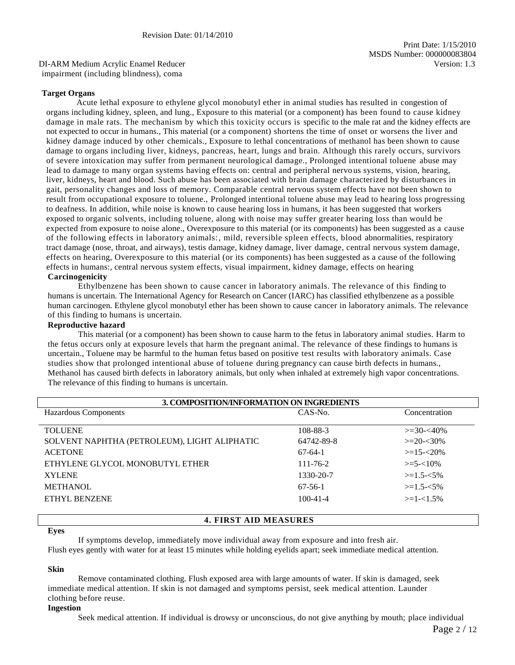DI-ARM Medium Acrylic Enamel Reducer Version: 1.3 impairment (including blindness), coma

#### **Target Organs**

Acute lethal exposure to ethylene glycol monobutyl ether in animal studies has resulted in congestion of organs including kidney, spleen, and lung., Exposure to this material (or a component) has been found to cause kidney damage in male rats. The mechanism by which this toxicity occurs is specific to the male rat and the kidney effects are not expected to occur in humans., This material (or a component) shortens the time of onset or worsens the liver and kidney damage induced by other chemicals., Exposure to lethal concentrations of methanol has been shown to cause damage to organs including liver, kidneys, pancreas, heart, lungs and brain. Although this rarely occurs, survivors of severe intoxication may suffer from permanent neurological damage., Prolonged intentional toluene abuse may lead to damage to many organ systems having effects on: central and peripheral nervous systems, vision, hearing, liver, kidneys, heart and blood. Such abuse has been associated with brain damage characterized by disturbances in gait, personality changes and loss of memory. Comparable central nervous system effects have not been shown to result from occupational exposure to toluene., Prolonged intentional toluene abuse may lead to hearing loss progressing to deafness. In addition, while noise is known to cause hearing loss in humans, it has been suggested that workers exposed to organic solvents, including toluene, along with noise may suffer greater hearing loss than would be expected from exposure to noise alone., Overexposure to this material (or its components) has been suggested as a cause of the following effects in laboratory animals:, mild, reversible spleen effects, blood abnormalities, respiratory tract damage (nose, throat, and airways), testis damage, kidney damage, liver damage, central nervous system damage, effects on hearing, Overexposure to this material (or its components) has been suggested as a cause of the following effects in humans:, central nervous system effects, visual impairment, kidney damage, effects on hearing **Carcinogenicity**

Ethylbenzene has been shown to cause cancer in laboratory animals. The relevance of this finding to humans is uncertain. The International Agency for Research on Cancer (IARC) has classified ethylbenzene as a possible human carcinogen. Ethylene glycol monobutyl ether has been shown to cause cancer in laboratory animals. The relevance of this finding to humans is uncertain.

#### **Reproductive hazard**

This material (or a component) has been shown to cause harm to the fetus in laboratory animal studies. Harm to the fetus occurs only at exposure levels that harm the pregnant animal. The relevance of these findings to humans is uncertain., Toluene may be harmful to the human fetus based on positive test results with laboratory animals. Case studies show that prolonged intentional abuse of toluene during pregnancy can cause birth defects in humans., Methanol has caused birth defects in laboratory animals, but only when inhaled at extremely high vapor concentrations. The relevance of this finding to humans is uncertain.

| 3. COMPOSITION/INFORMATION ON INGREDIENTS    |                |                  |  |
|----------------------------------------------|----------------|------------------|--|
| Hazardous Components                         | CAS-No.        | Concentration    |  |
|                                              |                |                  |  |
| <b>TOLUENE</b>                               | 108-88-3       | $\geq 30 - 40\%$ |  |
| SOLVENT NAPHTHA (PETROLEUM), LIGHT ALIPHATIC | 64742-89-8     | $>=20-30%$       |  |
| <b>ACETONE</b>                               | $67-64-1$      | $>=15 - 20\%$    |  |
| ETHYLENE GLYCOL MONOBUTYL ETHER              | $111 - 76 - 2$ | $>=$ 5- $<$ 10%  |  |
| <b>XYLENE</b>                                | 1330-20-7      | $>=1.5 - 5\%$    |  |
| <b>METHANOL</b>                              | $67-56-1$      | $>=1.5 - 5\%$    |  |
| ETHYL BENZENE                                | $100 - 41 - 4$ | $>=1-1.5%$       |  |
|                                              |                |                  |  |

#### **4. FIRST AID MEASURES**

#### **Eyes**

If symptoms develop, immediately move individual away from exposure and into fresh air.

Flush eyes gently with water for at least 15 minutes while holding eyelids apart; seek immediate medical attention.

#### **Skin**

Remove contaminated clothing. Flush exposed area with large amounts of water. If skin is damaged, seek immediate medical attention. If skin is not damaged and symptoms persist, seek medical attention. Launder clothing before reuse.

#### **Ingestion**

Seek medical attention. If individual is drowsy or unconscious, do not give anything by mouth; place individual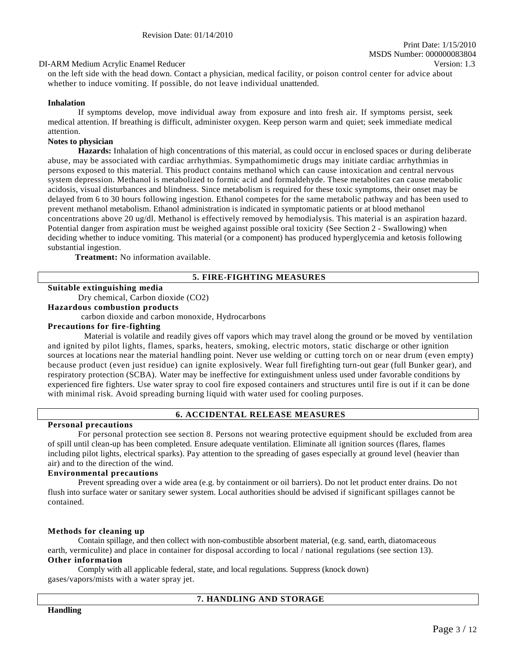#### DI-ARM Medium Acrylic Enamel Reducer Version: 1.3

on the left side with the head down. Contact a physician, medical facility, or poison control center for advice about whether to induce vomiting. If possible, do not leave individual unattended.

#### **Inhalation**

If symptoms develop, move individual away from exposure and into fresh air. If symptoms persist, seek medical attention. If breathing is difficult, administer oxygen. Keep person warm and quiet; seek immediate medical attention.

#### **Notes to physician**

**Hazards:** Inhalation of high concentrations of this material, as could occur in enclosed spaces or during deliberate abuse, may be associated with cardiac arrhythmias. Sympathomimetic drugs may initiate cardiac arrhythmias in persons exposed to this material. This product contains methanol which can cause intoxication and central nervous system depression. Methanol is metabolized to formic acid and formaldehyde. These metabolites can cause metabolic acidosis, visual disturbances and blindness. Since metabolism is required for these toxic symptoms, their onset may be delayed from 6 to 30 hours following ingestion. Ethanol competes for the same metabolic pathway and has been used to prevent methanol metabolism. Ethanol administration is indicated in symptomatic patients or at blood methanol concentrations above 20 ug/dl. Methanol is effectively removed by hemodialysis. This material is an aspiration hazard. Potential danger from aspiration must be weighed against possible oral toxicity (See Section 2 - Swallowing) when deciding whether to induce vomiting. This material (or a component) has produced hyperglycemia and ketosis following substantial ingestion.

**Treatment:** No information available.

#### **5. FIRE-FIGHTING MEASURES**

#### **Suitable extinguishing media**

Dry chemical, Carbon dioxide (CO2)

**Hazardous combustion products**

carbon dioxide and carbon monoxide, Hydrocarbons

#### **Precautions for fire-fighting**

Material is volatile and readily gives off vapors which may travel along the ground or be moved by ventilation and ignited by pilot lights, flames, sparks, heaters, smoking, electric motors, static discharge or other ignition sources at locations near the material handling point. Never use welding or cutting torch on or near drum (even empty) because product (even just residue) can ignite explosively. Wear full firefighting turn-out gear (full Bunker gear), and respiratory protection (SCBA). Water may be ineffective for extinguishment unless used under favorable conditions by experienced fire fighters. Use water spray to cool fire exposed containers and structures until fire is out if it can be done with minimal risk. Avoid spreading burning liquid with water used for cooling purposes.

#### **6. ACCIDENTAL RELEASE MEASURES**

#### **Personal precautions**

For personal protection see section 8. Persons not wearing protective equipment should be excluded from area of spill until clean-up has been completed. Ensure adequate ventilation. Eliminate all ignition sources (flares, flames including pilot lights, electrical sparks). Pay attention to the spreading of gases especially at ground level (heavier than air) and to the direction of the wind.

#### **Environmental precautions**

Prevent spreading over a wide area (e.g. by containment or oil barriers). Do not let product enter drains. Do not flush into surface water or sanitary sewer system. Local authorities should be advised if significant spillages cannot be contained.

#### **Methods for cleaning up**

Contain spillage, and then collect with non-combustible absorbent material, (e.g. sand, earth, diatomaceous earth, vermiculite) and place in container for disposal according to local / national regulations (see section 13). **Other information**

Comply with all applicable federal, state, and local regulations. Suppress (knock down) gases/vapors/mists with a water spray jet.

#### **7. HANDLING AND STORAGE**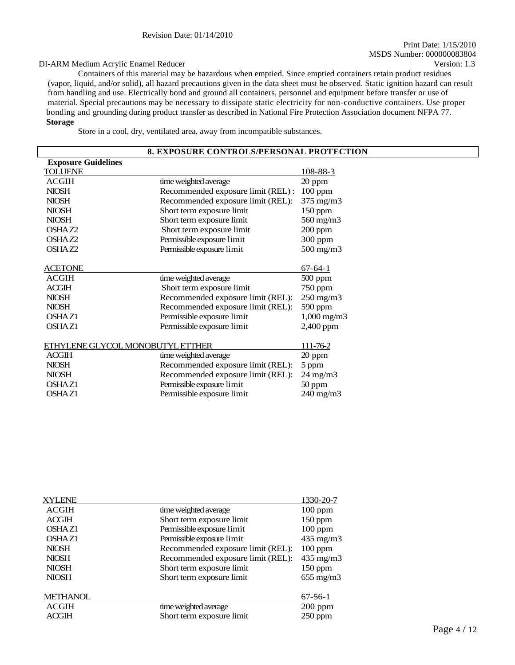#### DI-ARM Medium Acrylic Enamel Reducer Version: 1.3

Containers of this material may be hazardous when emptied. Since emptied containers retain product residues (vapor, liquid, and/or solid), all hazard precautions given in the data sheet must be observed. Static ignition hazard can result from handling and use. Electrically bond and ground all containers, personnel and equipment before transfer or use of material. Special precautions may be necessary to dissipate static electricity for non-conductive containers. Use proper bonding and grounding during product transfer as described in National Fire Protection Association document NFPA 77. **Storage**

Store in a cool, dry, ventilated area, away from incompatible substances.

| 8. EXPOSURE CONTROLS/PERSONAL PROTECTION |                                    |                     |  |
|------------------------------------------|------------------------------------|---------------------|--|
| <b>Exposure Guidelines</b>               |                                    |                     |  |
| <b>TOLUENE</b>                           |                                    | <u>108-88-3</u>     |  |
| <b>ACGIH</b>                             | time weighted average              | 20 ppm              |  |
| <b>NIOSH</b>                             | Recommended exposure limit (REL) : | 100 ppm             |  |
| <b>NIOSH</b>                             | Recommended exposure limit (REL):  | 375 mg/m3           |  |
| <b>NIOSH</b>                             | Short term exposure limit          | $150$ ppm           |  |
| <b>NIOSH</b>                             | Short term exposure limit          | 560 mg/m3           |  |
| OSHAZ2                                   | Short term exposure limit          | $200$ ppm           |  |
| OSHAZ2                                   | Permissible exposure limit         | 300 ppm             |  |
| OSHAZ2                                   | Permissible exposure limit         | 500 mg/m3           |  |
|                                          |                                    |                     |  |
| <b>ACETONE</b>                           |                                    | $67-64-1$           |  |
| <b>ACGIH</b>                             | time weighted average              | $500$ ppm           |  |
| <b>ACGIH</b>                             | Short term exposure limit          | 750 ppm             |  |
| <b>NIOSH</b>                             | Recommended exposure limit (REL):  | $250$ mg/m $3$      |  |
| <b>NIOSH</b>                             | Recommended exposure limit (REL):  | 590 ppm             |  |
| <b>OSHAZ1</b>                            | Permissible exposure limit         | $1,000$ mg/m $3$    |  |
| <b>OSHAZ1</b>                            | Permissible exposure limit         | 2,400 ppm           |  |
|                                          |                                    |                     |  |
| ETHYLENE GLYCOL MONOBUTYL ETTHER         |                                    | 111-76-2            |  |
| ACGIH                                    | time weighted average              | 20 ppm              |  |
| <b>NIOSH</b>                             | Recommended exposure limit (REL):  | 5 ppm               |  |
| <b>NIOSH</b>                             | Recommended exposure limit (REL):  | $24 \text{ mg/m}$ 3 |  |
| OSHAZ1                                   | Permissible exposure limit         | $50$ ppm            |  |
| <b>OSHAZ1</b>                            | Permissible exposure limit         | 240 mg/m3           |  |
|                                          |                                    |                     |  |

| <b>XYLENE</b>      |                                   | 1330-20-7          |
|--------------------|-----------------------------------|--------------------|
| <b>ACGIH</b>       | time weighted average             | $100$ ppm          |
| <b>ACGIH</b>       | Short term exposure limit         | $150$ ppm          |
| OSHA <sub>Z1</sub> | Permissible exposure limit        | $100$ ppm          |
| OSHA <sub>Z1</sub> | Permissible exposure limit        | $435 \text{ mg/m}$ |
| <b>NIOSH</b>       | Recommended exposure limit (REL): | $100$ ppm          |
| <b>NIOSH</b>       | Recommended exposure limit (REL): | $435 \text{ mg/m}$ |
| <b>NIOSH</b>       | Short term exposure limit         | $150$ ppm          |
| <b>NIOSH</b>       | Short term exposure limit         | $655 \text{ mg/m}$ |
| <b>METHANOL</b>    |                                   | $67-56-1$          |
| <b>ACGIH</b>       | time weighted average             | $200$ ppm          |
| <b>ACGIH</b>       | Short term exposure limit         | $250$ ppm          |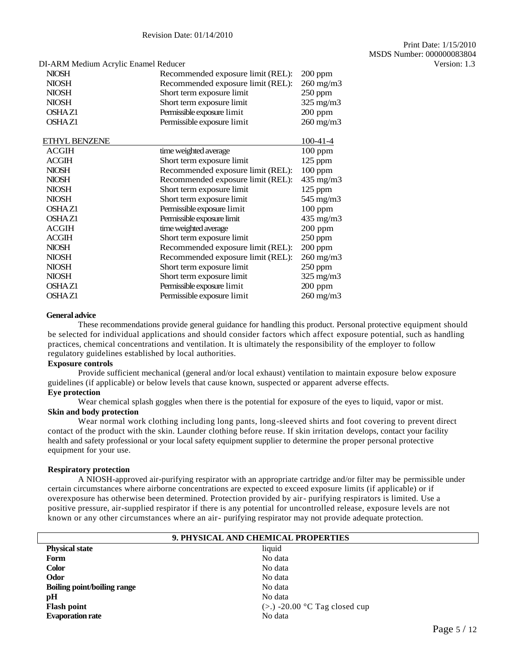|                                   |                                      | Version: 1.3 |
|-----------------------------------|--------------------------------------|--------------|
| Recommended exposure limit (REL): | $200$ ppm                            |              |
| Recommended exposure limit (REL): | $260 \text{ mg/m}$                   |              |
| Short term exposure limit         | $250$ ppm                            |              |
| Short term exposure limit         | $325$ mg/m $3$                       |              |
| Permissible exposure limit        | $200$ ppm                            |              |
| Permissible exposure limit        | $260$ mg/m $3$                       |              |
|                                   | $100 - 41 - 4$                       |              |
| time weighted average             | $100$ ppm                            |              |
| Short term exposure limit         | $125$ ppm                            |              |
| Recommended exposure limit (REL): | $100$ ppm                            |              |
| Recommended exposure limit (REL): | $435 \text{ mg/m}$                   |              |
| Short term exposure limit         | $125$ ppm                            |              |
| Short term exposure limit         | 545 mg/m3                            |              |
| Permissible exposure limit        | $100$ ppm                            |              |
| Permissible exposure limit        | 435 mg/m3                            |              |
| time weighted average             | $200$ ppm                            |              |
| Short term exposure limit         | $250$ ppm                            |              |
| Recommended exposure limit (REL): | $200$ ppm                            |              |
| Recommended exposure limit (REL): | $260$ mg/m $3$                       |              |
| Short term exposure limit         | 250 ppm                              |              |
| Short term exposure limit         | $325 \text{ mg/m}$                   |              |
| Permissible exposure limit        | $200$ ppm                            |              |
| Permissible exposure limit        | $260 \text{ mg/m}$                   |              |
|                                   | DI-ARM Medium Acrylic Enamel Reducer |              |

#### **General advice**

These recommendations provide general guidance for handling this product. Personal protective equipment should be selected for individual applications and should consider factors which affect exposure potential, such as handling practices, chemical concentrations and ventilation. It is ultimately the responsibility of the employer to follow regulatory guidelines established by local authorities.

#### **Exposure controls**

Provide sufficient mechanical (general and/or local exhaust) ventilation to maintain exposure below exposure guidelines (if applicable) or below levels that cause known, suspected or apparent adverse effects.

#### **Eye protection**

Wear chemical splash goggles when there is the potential for exposure of the eyes to liquid, vapor or mist. **Skin and body protection**

Wear normal work clothing including long pants, long-sleeved shirts and foot covering to prevent direct contact of the product with the skin. Launder clothing before reuse. If skin irritation develops, contact your facility health and safety professional or your local safety equipment supplier to determine the proper personal protective equipment for your use.

#### **Respiratory protection**

A NIOSH-approved air-purifying respirator with an appropriate cartridge and/or filter may be permissible under certain circumstances where airborne concentrations are expected to exceed exposure limits (if applicable) or if overexposure has otherwise been determined. Protection provided by air- purifying respirators is limited. Use a positive pressure, air-supplied respirator if there is any potential for uncontrolled release, exposure levels are not known or any other circumstances where an air- purifying respirator may not provide adequate protection.

| 9. PHYSICAL AND CHEMICAL PROPERTIES |                                 |  |
|-------------------------------------|---------------------------------|--|
| <b>Physical state</b>               | liquid                          |  |
| Form                                | No data                         |  |
| <b>Color</b>                        | No data                         |  |
| Odor                                | No data                         |  |
| <b>Boiling point/boiling range</b>  | No data                         |  |
| pH                                  | No data                         |  |
| <b>Flash point</b>                  | $(>.)$ -20.00 °C Tag closed cup |  |
| <b>Evaporation rate</b>             | No data                         |  |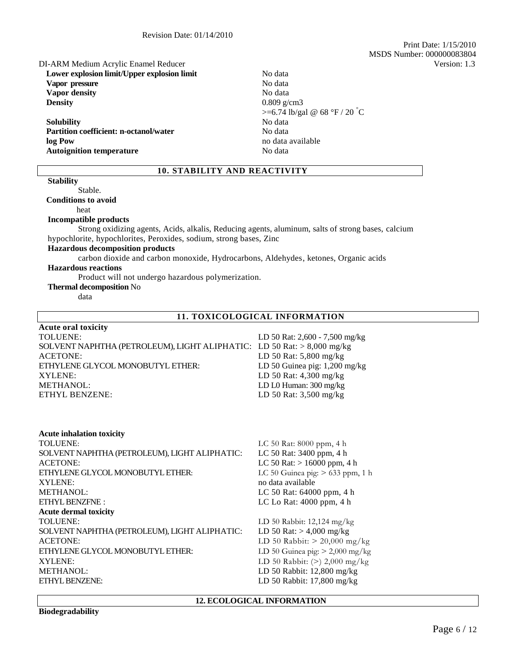Print Date: 1/15/2010 MSDS Number: 000000083804

### DI-ARM Medium Acrylic Enamel Reducer Version: 1.3

**Lower explosion limit/Upper explosion limit** No data Vapor pressure No data **Vapor density** No data **Density** 0.809 g/cm3

**Solubility** No data **Partition coefficient: n-octanol/water No data** No data **log Pow** no data available **Autoignition temperature** No data

# $>= 6.74$  lb/gal @ 68 °F / 20 °C

# **10. STABILITY AND REACTIVITY**

# **Stability**

#### Stable. **Conditions to avoid**

heat

#### **Incompatible products**

Strong oxidizing agents, Acids, alkalis, Reducing agents, aluminum, salts of strong bases, calcium hypochlorite, hypochlorites, Peroxides, sodium, strong bases, Zinc

# **Hazardous decomposition products**

carbon dioxide and carbon monoxide, Hydrocarbons, Aldehydes, ketones, Organic acids

# **Hazardous reactions**

Product will not undergo hazardous polymerization.

### **Thermal decomposition** No

data

**Acute oral toxicity**

## **11. TOXICOLOGICAL INFORMATION**

| Transporter to the late                                                |                                 |
|------------------------------------------------------------------------|---------------------------------|
| <b>TOLUENE:</b>                                                        | LD 50 Rat: 2,600 - 7,500 mg/kg  |
| SOLVENT NAPHTHA (PETROLEUM), LIGHT ALIPHATIC: LD 50 Rat: > 8,000 mg/kg |                                 |
| <b>ACETONE:</b>                                                        | LD 50 Rat: $5,800$ mg/kg        |
| ETHYLENE GLYCOL MONOBUTYL ETHER:                                       | LD 50 Guinea pig: $1,200$ mg/kg |
| XYLENE:                                                                | LD 50 Rat: $4,300$ mg/kg        |
| <b>METHANOL:</b>                                                       | LD L0 Human: 300 mg/kg          |
| ETHYL BENZENE:                                                         | LD 50 Rat: 3,500 mg/kg          |
|                                                                        |                                 |

#### **Acute inhalation toxicity**

| <b>TOLUENE:</b>                               |                                    |
|-----------------------------------------------|------------------------------------|
|                                               | LC 50 Rat: 8000 ppm, 4 h           |
| SOLVENT NAPHTHA (PETROLEUM), LIGHT ALIPHATIC: | LC 50 Rat: 3400 ppm, 4 h           |
| <b>ACETONE:</b>                               | LC 50 Rat: $> 16000$ ppm, 4 h      |
| ETHYLENE GLYCOL MONOBUTYL ETHER:              | LC 50 Guinea pig: $> 633$ ppm, 1 h |
| XYLENE:                                       | no data available                  |
| METHANOL:                                     | LC 50 Rat: 64000 ppm, 4 h          |
| ETHYL BENZFNE:                                | LC Lo Rat: $4000$ ppm, $4 h$       |
| <b>Acute dermal toxicity</b>                  |                                    |
| <b>TOLUENE:</b>                               | LD 50 Rabbit: $12,124$ mg/kg       |
| SOLVENT NAPHTHA (PETROLEUM), LIGHT ALIPHATIC: | LD 50 Rat: $> 4,000$ mg/kg         |
| <b>ACETONE:</b>                               | LD 50 Rabbit: $> 20,000$ mg/kg     |
| ETHYLENE GLYCOL MONOBUTYL ETHER:              | LD 50 Guinea pig: $> 2,000$ mg/kg  |
| XYLENE:                                       | LD 50 Rabbit: $(>)$ 2,000 mg/kg    |
| <b>METHANOL:</b>                              | LD 50 Rabbit: 12,800 mg/kg         |
| ETHYL BENZENE:                                | LD 50 Rabbit: $17,800$ mg/kg       |

#### **12. ECOLOGICAL INFORMATION**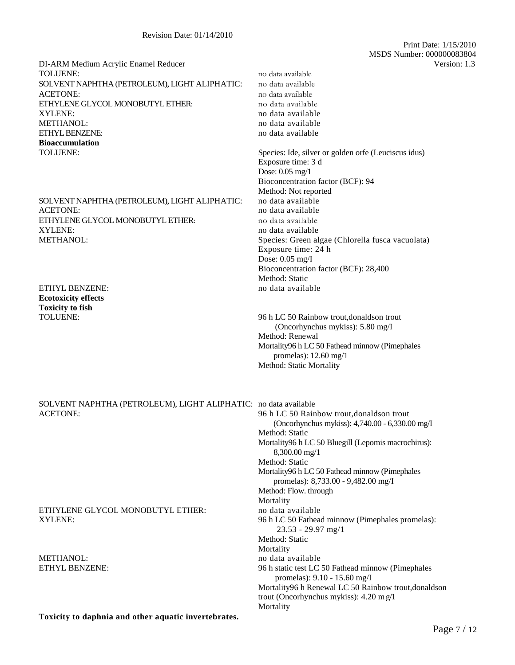DI-ARM Medium Acrylic Enamel Reducer Version: 1.3 TOLUENE: no data available SOLVENT NAPHTHA (PETROLEUM), LIGHT ALIPHATIC: no data available ACETONE: no data available ETHYLENE GLYCOL MONOBUTYL ETHER: no data available XYLENE: no data available METHANOL: no data available no data available ETHYL BENZENE: no data available no data available **Bioaccumulation** TOLUENE: Species: Ide, silver or golden orfe (Leuciscus idus)

SOLVENT NAPHTHA (PETROLEUM), LIGHT ALIPHATIC: no data available ACETONE: no data available ETHYLENE GLYCOL MONOBUTYL ETHER: no data available XYLENE: no data available METHANOL: Species: Green algae (Chlorella fusca vacuolata)

ETHYL BENZENE: no data available **Ecotoxicity effects Toxicity to fish**

SOLVENT NAPHTHA (PETROLEUM), LIGHT ALIPHATIC: no data available

ETHYLENE GLYCOL MONOBUTYL ETHER: no data available

METHANOL: no data available

**Toxicity to daphnia and other aquatic invertebrates.**

 Print Date: 1/15/2010 MSDS Number: 000000083804

Exposure time: 3 d Dose: 0.05 mg/1 Bioconcentration factor (BCF): 94 Method: Not reported Exposure time: 24 h Dose: 0.05 mg/I Bioconcentration factor (BCF): 28,400 Method: Static

TOLUENE: 96 h LC 50 Rainbow trout,donaldson trout (Oncorhynchus mykiss): 5.80 mg/I Method: Renewal Mortality96 h LC 50 Fathead minnow (Pimephales promelas): 12.60 mg/1 Method: Static Mortality

96 h LC 50 Rainbow trout,donaldson trout (Oncorhynchus mykiss): 4,740.00 - 6,330.00 mg/I Method: Static Mortality96 h LC 50 Bluegill (Lepomis macrochirus): 8,300.00 mg/1 Method: Static Mortality96 h LC 50 Fathead minnow (Pimephales promelas): 8,733.00 - 9,482.00 mg/I Method: Flow. through Mortality XYLENE: 96 h LC 50 Fathead minnow (Pimephales promelas): 23.53 - 29.97 mg/1 Method: Static **Mortality** ETHYL BENZENE: 96 h static test LC 50 Fathead minnow (Pimephales promelas): 9.10 - 15.60 mg/I Mortality96 h Renewal LC 50 Rainbow trout,donaldson trout (Oncorhynchus mykiss): 4.20 m g/1

Mortality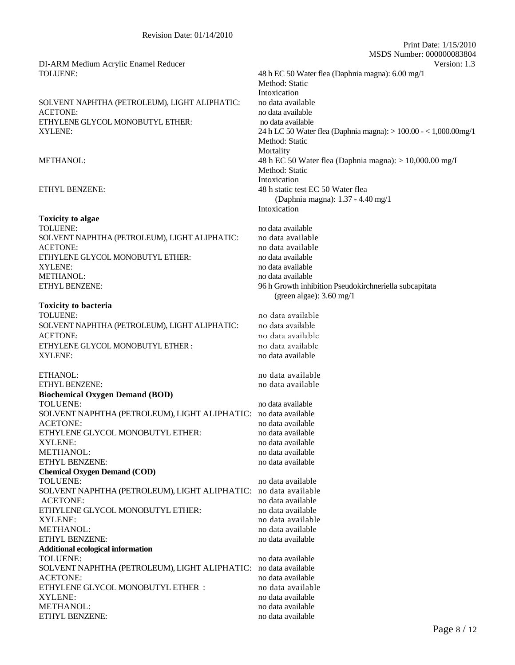# SOLVENT NAPHTHA (PETROLEUM), LIGHT ALIPHATIC: no data available ACETONE: no data available ETHYLENE GLYCOL MONOBUTYL ETHER: no data available

#### **Toxicity to algae**

TOLUENE: no data available SOLVENT NAPHTHA (PETROLEUM), LIGHT ALIPHATIC: no data available ACETONE: no data available ETHYLENE GLYCOL MONOBUTYL ETHER: no data available XYLENE: no data available METHANOL: no data available ETHYL BENZENE: 96 h Growth inhibition Pseudokirchneriella subcapitata

#### **Toxicity to bacteria**

TOLUENE: no data available SOLVENT NAPHTHA (PETROLEUM), LIGHT ALIPHATIC: no data available ACETONE: no data available ETHYLENE GLYCOL MONOBUTYL ETHER : no data available XYLENE: no data available

ETHYL BENZENE: no data available **Biochemical Oxygen Demand (BOD)** TOLUENE: no data available no data available SOLVENT NAPHTHA (PETROLEUM), LIGHT ALIPHATIC: no data available ACETONE: no data available ETHYLENE GLYCOL MONOBUTYL ETHER: no data available XYLENE: no data available METHANOL: no data available ETHYL BENZENE: no data available **Chemical Oxygen Demand (COD)**  TOLUENE: no data available no data available SOLVENT NAPHTHA (PETROLEUM), LIGHT ALIPHATIC: no data available ACETONE: no data available ETHYLENE GLYCOL MONOBUTYL ETHER: no data available XYLENE: no data available no data available METHANOL: no data available ETHYL BENZENE: no data available **Additional ecological information**  TOLUENE: no data available SOLVENT NAPHTHA (PETROLEUM), LIGHT ALIPHATIC: no data available ACETONE: no data available ETHYLENE GLYCOL MONOBUTYL ETHER : no data available XYLENE: no data available no data available METHANOL: no data available ETHYL BENZENE: no data available

DI-ARM Medium Acrylic Enamel Reducer Version: 1.3 TOLUENE: 48 h EC 50 Water flea (Daphnia magna): 6.00 mg/1 Method: Static Intoxication XYLENE: 24 h LC 50 Water flea (Daphnia magna): > 100.00 - < 1,000.00mg/1 Method: Static **Mortality** METHANOL: 48 h EC 50 Water flea (Daphnia magna): > 10,000.00 mg/I Method: Static Intoxication ETHYL BENZENE: 48 h static test EC 50 Water flea (Daphnia magna): 1.37 - 4.40 mg/1 Intoxication

Print Date: 1/15/2010

MSDS Number: 000000083804

(green algae): 3.60 mg/1

ETHANOL: no data available no data available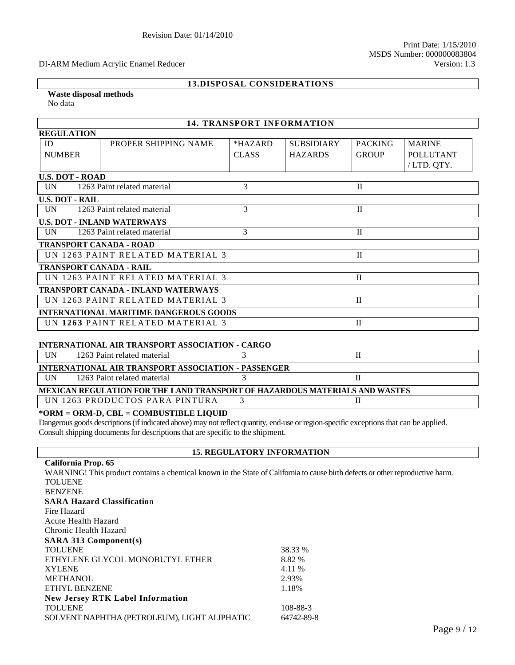#### DI-ARM Medium Acrylic Enamel Reducer Version: 1.3

# **13.DISPOSAL CONSIDERATIONS**

#### **Waste disposal methods**  No data

| <b>14. TRANSPORT INFORMATION</b>                                            |                                                        |               |                   |                |                  |
|-----------------------------------------------------------------------------|--------------------------------------------------------|---------------|-------------------|----------------|------------------|
| <b>REGULATION</b>                                                           |                                                        |               |                   |                |                  |
| ID                                                                          | PROPER SHIPPING NAME                                   | $*HAZARD$     | <b>SUBSIDIARY</b> | <b>PACKING</b> | <b>MARINE</b>    |
| <b>NUMBER</b>                                                               |                                                        | <b>CLASS</b>  | <b>HAZARDS</b>    | <b>GROUP</b>   | <b>POLLUTANT</b> |
|                                                                             |                                                        |               |                   |                | /LTD. QTY.       |
| <b>U.S. DOT - ROAD</b>                                                      |                                                        |               |                   |                |                  |
| <b>IIN</b>                                                                  | 1263 Paint related material                            | 3             |                   | $\mathbf{I}$   |                  |
| <b>U.S. DOT - RAIL</b>                                                      |                                                        |               |                   |                |                  |
| <b>IN</b>                                                                   | 1263 Paint related material                            | 3             |                   | $\mathbf{H}$   |                  |
|                                                                             | <b>U.S. DOT - INLAND WATERWAYS</b>                     |               |                   |                |                  |
| <b>IIN</b>                                                                  | 1263 Paint related material                            | 3             |                   | $\mathbf{I}$   |                  |
| <b>TRANSPORT CANADA - ROAD</b>                                              |                                                        |               |                   |                |                  |
|                                                                             | UN 1263 PAINT RELATED MATERIAL 3                       |               |                   | $\mathbf{I}$   |                  |
| <b>TRANSPORT CANADA - RAIL</b>                                              |                                                        |               |                   |                |                  |
|                                                                             | UN 1263 PAINT RELATED MATERIAL 3                       |               |                   | $\mathbf{I}$   |                  |
|                                                                             | <b>TRANSPORT CANADA - INLAND WATERWAYS</b>             |               |                   |                |                  |
|                                                                             | UN 1263 PAINT RELATED MATERIAL 3                       |               |                   | $\mathbf{I}$   |                  |
|                                                                             | <b>INTERNATIONAL MARITIME DANGEROUS GOODS</b>          |               |                   |                |                  |
|                                                                             | UN 1263 PAINT RELATED MATERIAL 3                       |               |                   | $\mathbf{I}$   |                  |
|                                                                             |                                                        |               |                   |                |                  |
|                                                                             | <b>INTERNATIONAL AIR TRANSPORT ASSOCIATION - CARGO</b> |               |                   |                |                  |
| UN                                                                          | 1263 Paint related material                            |               |                   | $\mathbf{I}$   |                  |
| <b>INTERNATIONAL AIR TRANSPORT ASSOCIATION - PASSENGER</b>                  |                                                        |               |                   |                |                  |
| <b>IIN</b>                                                                  | 1263 Paint related material                            | $\mathcal{R}$ |                   | $\mathbf{H}$   |                  |
| MEXICAN REGULATION FOR THE LAND TRANSPORT OF HAZARDOUS MATERIALS AND WASTES |                                                        |               |                   |                |                  |
|                                                                             | UN 1263 PRODUCTOS PARA PINTURA                         | $\mathbf{3}$  |                   | $\mathbf{I}$   |                  |
|                                                                             | *ORM = ORM-D, CBL = COMBUSTIBLE LIQUID                 |               |                   |                |                  |

Dangerous goods descriptions (if indicated above) may not reflect quantity, end-use or region-specific exceptions that can be applied. Consult shipping documents for descriptions that are specific to the shipment.

## **15. REGULATORY INFORMATION**

| California Prop. 65                                                                                                           |            |
|-------------------------------------------------------------------------------------------------------------------------------|------------|
| WARNING! This product contains a chemical known in the State of California to cause birth defects or other reproductive harm. |            |
| <b>TOLUENE</b>                                                                                                                |            |
| <b>BENZENE</b>                                                                                                                |            |
| <b>SARA Hazard Classification</b>                                                                                             |            |
| Fire Hazard                                                                                                                   |            |
| Acute Health Hazard                                                                                                           |            |
| Chronic Health Hazard                                                                                                         |            |
| <b>SARA 313 Component(s)</b>                                                                                                  |            |
| <b>TOLUENE</b>                                                                                                                | 38.33 %    |
| ETHYLENE GLYCOL MONOBUTYL ETHER                                                                                               | 8.82 %     |
| <b>XYLENE</b>                                                                                                                 | 4.11 %     |
| <b>METHANOL</b>                                                                                                               | 2.93%      |
| <b>ETHYL BENZENE</b>                                                                                                          | 1.18%      |
| <b>New Jersey RTK Label Information</b>                                                                                       |            |
| <b>TOLUENE</b>                                                                                                                | 108-88-3   |
| SOLVENT NAPHTHA (PETROLEUM), LIGHT ALIPHATIC                                                                                  | 64742-89-8 |
|                                                                                                                               |            |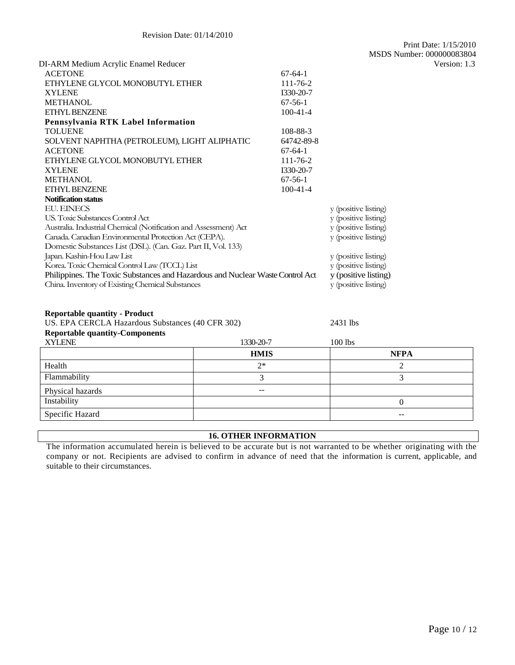| $x - 1$                                                                                                                |             |                      |                      |              |
|------------------------------------------------------------------------------------------------------------------------|-------------|----------------------|----------------------|--------------|
|                                                                                                                        | <b>HMIS</b> |                      | <b>NFPA</b>          |              |
| <b>XYLENE</b>                                                                                                          | 1330-20-7   |                      | 100 lbs              |              |
| <b>Reportable quantity-Components</b>                                                                                  |             |                      |                      |              |
| <b>Reportable quantity - Product</b><br>US. EPA CERCLA Hazardous Substances (40 CFR 302)                               |             | 2431 lbs             |                      |              |
|                                                                                                                        |             |                      |                      |              |
|                                                                                                                        |             |                      |                      |              |
| China. Inventory of Existing Chemical Substances                                                                       |             |                      | y (positive listing) |              |
| Philippines. The Toxic Substances and Hazardous and Nuclear Waste Control Act                                          |             | y (positive listing) |                      |              |
| Korea. Toxic Chemical Control Law (TCCL) List                                                                          |             | y (positive listing) |                      |              |
| Japan. Kashin-Hou Law List                                                                                             |             |                      | y (positive listing) |              |
| Canada. Canadian Environmental Protection Act (CEPA).<br>Domestic Substances List (DSL). (Can. Gaz. Part II, Vol. 133) |             |                      | y (positive listing) |              |
| Australia. Industrial Chemical (Notification and Assessment) Act                                                       |             |                      | y (positive listing) |              |
| US. Toxic Substances Control Act                                                                                       |             |                      | y (positive listing) |              |
| <b>EU. EINECS</b>                                                                                                      |             |                      | y (positive listing) |              |
| <b>Notification status</b>                                                                                             |             |                      |                      |              |
| ETHYL BENZENE                                                                                                          |             | $100 - 41 - 4$       |                      |              |
| <b>METHANOL</b>                                                                                                        |             | $67-56-1$            |                      |              |
| <b>XYLENE</b>                                                                                                          |             | I330-20-7            |                      |              |
| ETHYLENE GLYCOL MONOBUTYL ETHER                                                                                        |             | 111-76-2             |                      |              |
| <b>ACETONE</b>                                                                                                         |             | $67-64-1$            |                      |              |
| SOLVENT NAPHTHA (PETROLEUM), LIGHT ALIPHATIC                                                                           |             | 64742-89-8           |                      |              |
| <b>TOLUENE</b>                                                                                                         |             | 108-88-3             |                      |              |
| Pennsylvania RTK Label Information                                                                                     |             |                      |                      |              |
| ETHYL BENZENE                                                                                                          |             | $100 - 41 - 4$       |                      |              |
| <b>METHANOL</b>                                                                                                        |             | $67-56-1$            |                      |              |
| <b>XYLENE</b>                                                                                                          |             | I330-20-7            |                      |              |
| ETHYLENE GLYCOL MONOBUTYL ETHER                                                                                        |             | 111-76-2             |                      |              |
| <b>ACETONE</b>                                                                                                         |             | $67-64-1$            |                      |              |
| DI-ARM Medium Acrylic Enamel Reducer                                                                                   |             |                      |                      | Version: 1.3 |

| <b>HMIS</b> | NFPA  |
|-------------|-------|
| $2*$        |       |
|             |       |
| $- -$       |       |
|             |       |
|             | $- -$ |
|             |       |

# **16. OTHER INFORMATION**

The information accumulated herein is believed to be accurate but is not warranted to be whether originating with the company or not. Recipients are advised to confirm in advance of need that the information is current, applicable, and suitable to their circumstances.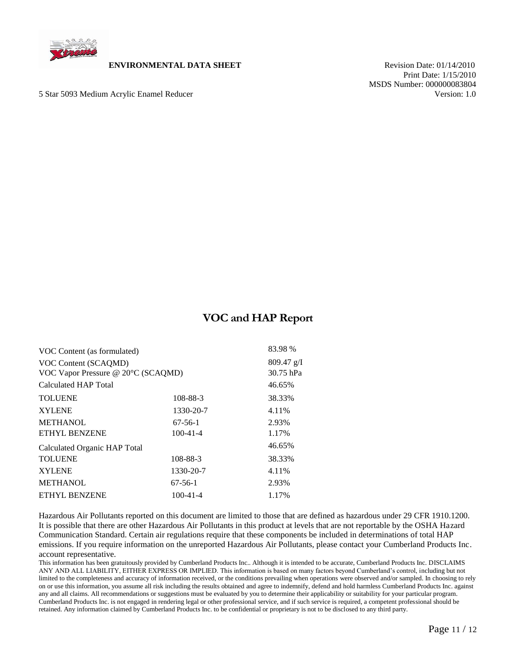

## **ENVIRONMENTAL DATA SHEET** Revision Date: 01/14/2010

5 Star 5093 Medium Acrylic Enamel Reducer Version: 1.0

 Print Date: 1/15/2010 MSDS Number: 000000083804

# **VOC and HAP Report**

| VOC Content (as formulated)                                |                | 83.98 %                   |
|------------------------------------------------------------|----------------|---------------------------|
| VOC Content (SCAOMD)<br>VOC Vapor Pressure @ 20°C (SCAQMD) |                | $809.47$ g/I<br>30.75 hPa |
| Calculated HAP Total                                       |                | 46.65%                    |
| <b>TOLUENE</b>                                             | 108-88-3       | 38.33%                    |
| <b>XYLENE</b>                                              | 1330-20-7      | 4.11%                     |
| <b>METHANOL</b>                                            | $67-56-1$      | 2.93%                     |
| <b>ETHYL BENZENE</b>                                       | $100 - 41 - 4$ | 1.17%                     |
| Calculated Organic HAP Total                               |                | 46.65%                    |
| <b>TOLUENE</b>                                             | 108-88-3       | 38.33%                    |
| <b>XYLENE</b>                                              | 1330-20-7      | 4.11%                     |
| <b>METHANOL</b>                                            | $67-56-1$      | 2.93%                     |
| <b>ETHYL BENZENE</b>                                       | $100 - 41 - 4$ | 1.17%                     |
|                                                            |                |                           |

Hazardous Air Pollutants reported on this document are limited to those that are defined as hazardous under 29 CFR 1910.1200. It is possible that there are other Hazardous Air Pollutants in this product at levels that are not reportable by the OSHA Hazard Communication Standard. Certain air regulations require that these components be included in determinations of total HAP emissions. If you require information on the unreported Hazardous Air Pollutants, please contact your Cumberland Products Inc. account representative.

This information has been gratuitously provided by Cumberland Products Inc.. Although it is intended to be accurate, Cumberland Products Inc. DISCLAIMS ANY AND ALL LIABILITY, EITHER EXPRESS OR IMPLIED. This information is based on many factors beyond Cumberland's control, including but not limited to the completeness and accuracy of information received, or the conditions prevailing when operations were observed and/or sampled. In choosing to rely on or use this information, you assume all risk including the results obtained and agree to indemnify, defend and hold harmless Cumberland Products Inc. against any and all claims. All recommendations or suggestions must be evaluated by you to determine their applicability or suitability for your particular program. Cumberland Products Inc. is not engaged in rendering legal or other professional service, and if such service is required, a competent professional should be retained. Any information claimed by Cumberland Products Inc. to be confidential or proprietary is not to be disclosed to any third party.